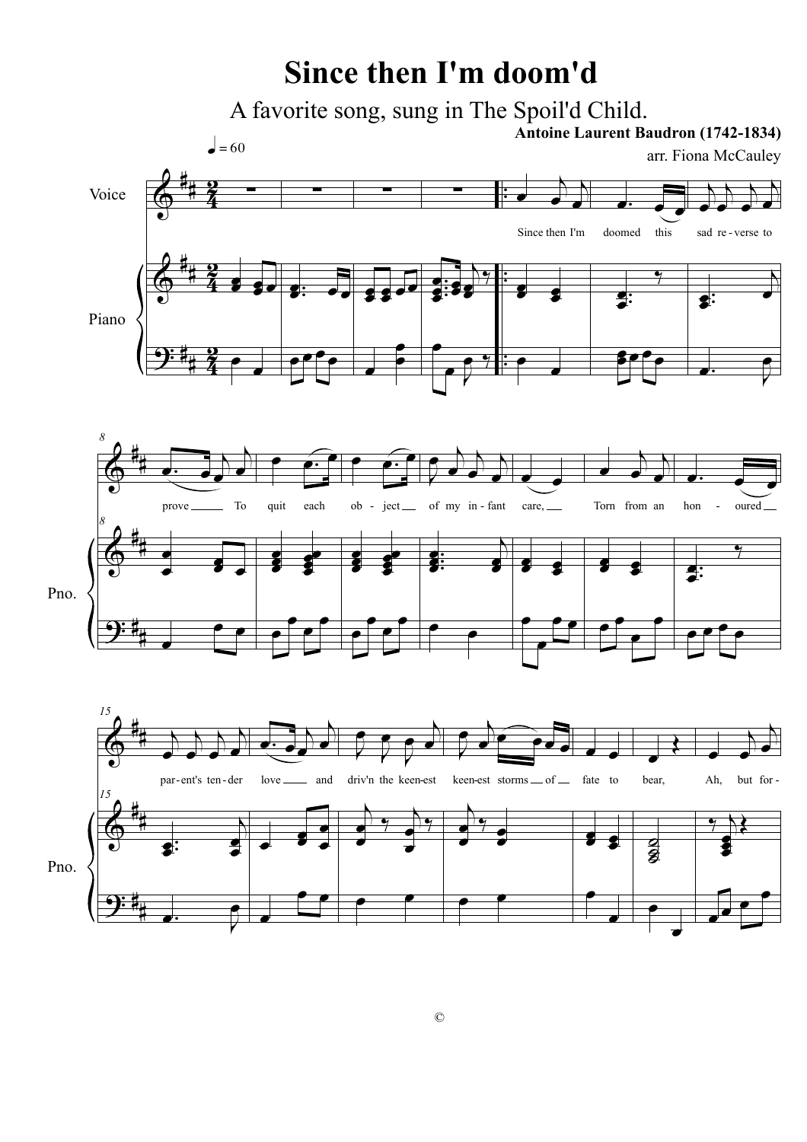## **Since then I'm doom'd**

A favorite song, sung in The Spoil'd Child.

 $\epsilon$ =60

**Antoine Laurent Baudron (1742-1834)** 

arr. Fiona McCauley